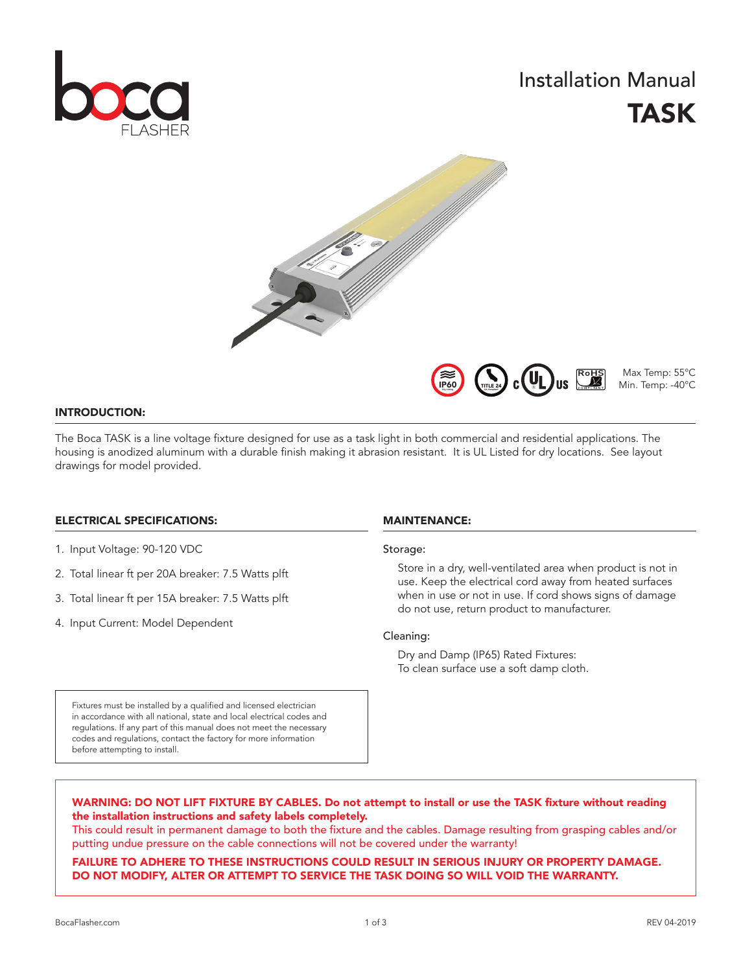

# Installation Manual TASK



Max Temp: 55°C Min. Temp: -40°C

# INTRODUCTION:

The Boca TASK is a line voltage fixture designed for use as a task light in both commercial and residential applications. The housing is anodized aluminum with a durable finish making it abrasion resistant. It is UL Listed for dry locations. See layout drawings for model provided.

# ELECTRICAL SPECIFICATIONS:

- 1. Input Voltage: 90-120 VDC
- 2. Total linear ft per 20A breaker: 7.5 Watts plft
- 3. Total linear ft per 15A breaker: 7.5 Watts plft
- 4. Input Current: Model Dependent

# MAINTENANCE:

### Storage:

Store in a dry, well-ventilated area when product is not in use. Keep the electrical cord away from heated surfaces when in use or not in use. If cord shows signs of damage do not use, return product to manufacturer.

**US** 

# Cleaning:

Dry and Damp (IP65) Rated Fixtures: To clean surface use a soft damp cloth.

Fixtures must be installed by a qualified and licensed electrician in accordance with all national, state and local electrical codes and regulations. If any part of this manual does not meet the necessary codes and regulations, contact the factory for more information before attempting to install.

# WARNING: DO NOT LIFT FIXTURE BY CABLES. Do not attempt to install or use the TASK fixture without reading the installation instructions and safety labels completely.

This could result in permanent damage to both the fixture and the cables. Damage resulting from grasping cables and/or putting undue pressure on the cable connections will not be covered under the warranty!

# FAILURE TO ADHERE TO THESE INSTRUCTIONS COULD RESULT IN SERIOUS INJURY OR PROPERTY DAMAGE. DO NOT MODIFY, ALTER OR ATTEMPT TO SERVICE THE TASK DOING SO WILL VOID THE WARRANTY.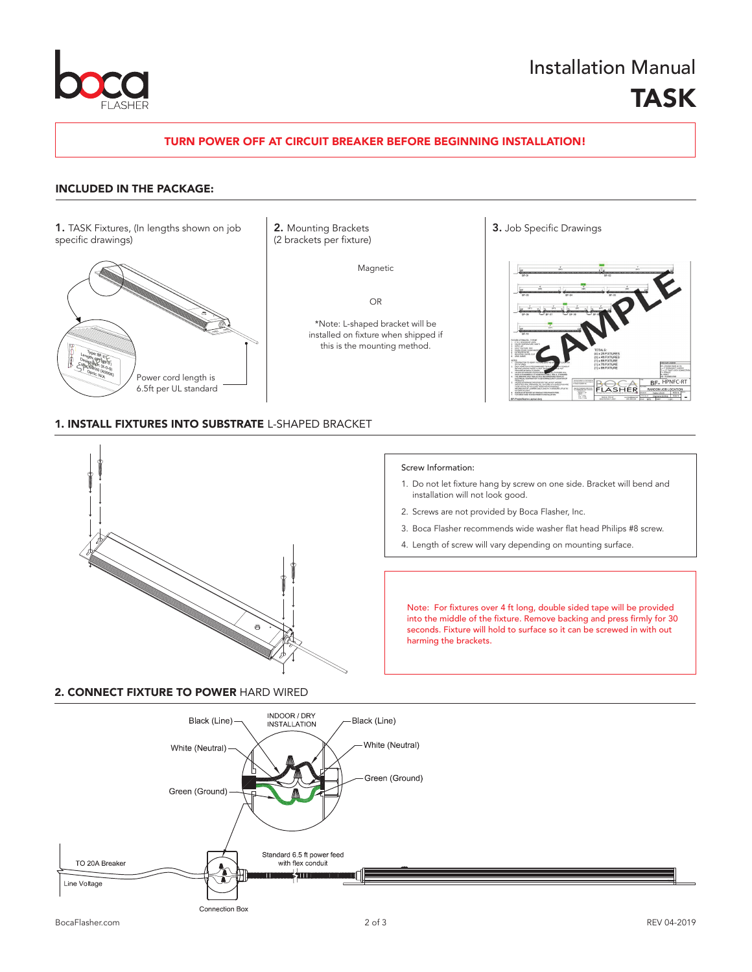

# Installation Manual TASK

# TURN POWER OFF AT CIRCUIT BREAKER BEFORE BEGINNING INSTALLATION!

# INCLUDED IN THE PACKAGE:

1. TASK Fixtures, (In lengths shown on job 2. Mounting Brackets 3. Job Specific Drawings specific drawings)



2. Mounting Brackets (2 brackets per fixture)

Magnetic

OR

\*Note: L-shaped bracket will be installed on fixture when shipped if this is the mounting method.



# 1. INSTALL FIXTURES INTO SUBSTRATE L-SHAPED BRACKET



# 2. CONNECT FIXTURE TO POWER HARD WIRED

#### Screw Information:

- 1. Do not let fixture hang by screw on one side. Bracket will bend and installation will not look good.
- 2. Screws are not provided by Boca Flasher, Inc.
- 3. Boca Flasher recommends wide washer flat head Philips #8 screw.
- 4. Length of screw will vary depending on mounting surface.

Note: For fixtures over 4 ft long, double sided tape will be provided into the middle of the fixture. Remove backing and press firmly for 30 seconds. Fixture will hold to surface so it can be screwed in with out harming the brackets.